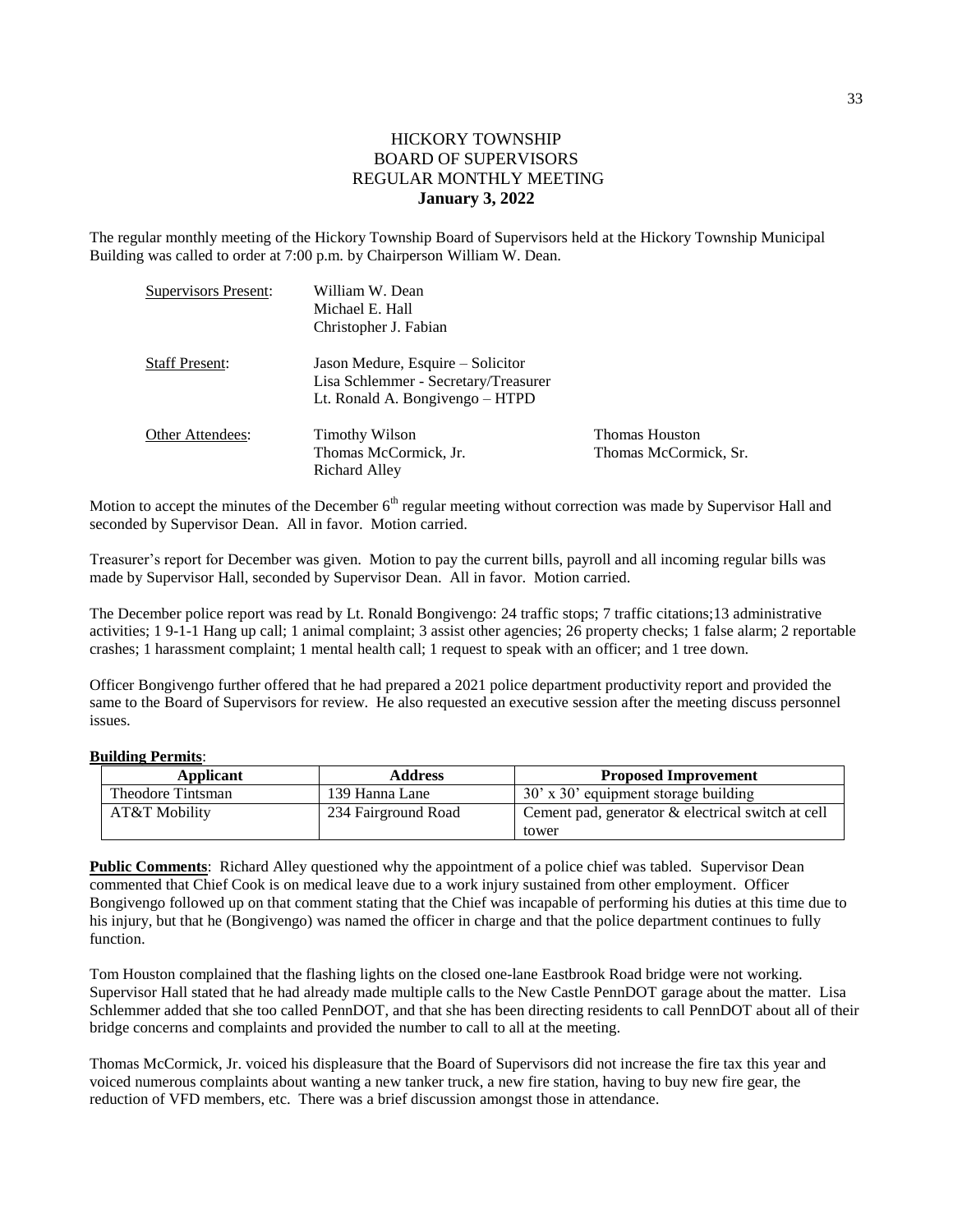## HICKORY TOWNSHIP BOARD OF SUPERVISORS REGULAR MONTHLY MEETING **January 3, 2022**

The regular monthly meeting of the Hickory Township Board of Supervisors held at the Hickory Township Municipal Building was called to order at 7:00 p.m. by Chairperson William W. Dean.

| Supervisors Present:  | William W. Dean<br>Michael E. Hall<br>Christopher J. Fabian                                                  |                                                |
|-----------------------|--------------------------------------------------------------------------------------------------------------|------------------------------------------------|
| <b>Staff Present:</b> | Jason Medure, Esquire – Solicitor<br>Lisa Schlemmer - Secretary/Treasurer<br>Lt. Ronald A. Bongivengo – HTPD |                                                |
| Other Attendees:      | <b>Timothy Wilson</b><br>Thomas McCormick, Jr.<br>Richard Alley                                              | <b>Thomas Houston</b><br>Thomas McCormick, Sr. |

Motion to accept the minutes of the December  $6<sup>th</sup>$  regular meeting without correction was made by Supervisor Hall and seconded by Supervisor Dean. All in favor. Motion carried.

Treasurer's report for December was given. Motion to pay the current bills, payroll and all incoming regular bills was made by Supervisor Hall, seconded by Supervisor Dean. All in favor. Motion carried.

The December police report was read by Lt. Ronald Bongivengo: 24 traffic stops; 7 traffic citations;13 administrative activities; 1 9-1-1 Hang up call; 1 animal complaint; 3 assist other agencies; 26 property checks; 1 false alarm; 2 reportable crashes; 1 harassment complaint; 1 mental health call; 1 request to speak with an officer; and 1 tree down.

Officer Bongivengo further offered that he had prepared a 2021 police department productivity report and provided the same to the Board of Supervisors for review. He also requested an executive session after the meeting discuss personnel issues.

## **Building Permits**:

| Applicant         | <b>Address</b>      | <b>Proposed Improvement</b>                       |  |
|-------------------|---------------------|---------------------------------------------------|--|
| Theodore Tintsman | 139 Hanna Lane      | 30' x 30' equipment storage building              |  |
| AT&T Mobility     | 234 Fairground Road | Cement pad, generator & electrical switch at cell |  |
|                   |                     | tower                                             |  |

**Public Comments**: Richard Alley questioned why the appointment of a police chief was tabled. Supervisor Dean commented that Chief Cook is on medical leave due to a work injury sustained from other employment. Officer Bongivengo followed up on that comment stating that the Chief was incapable of performing his duties at this time due to his injury, but that he (Bongivengo) was named the officer in charge and that the police department continues to fully function.

Tom Houston complained that the flashing lights on the closed one-lane Eastbrook Road bridge were not working. Supervisor Hall stated that he had already made multiple calls to the New Castle PennDOT garage about the matter. Lisa Schlemmer added that she too called PennDOT, and that she has been directing residents to call PennDOT about all of their bridge concerns and complaints and provided the number to call to all at the meeting.

Thomas McCormick, Jr. voiced his displeasure that the Board of Supervisors did not increase the fire tax this year and voiced numerous complaints about wanting a new tanker truck, a new fire station, having to buy new fire gear, the reduction of VFD members, etc. There was a brief discussion amongst those in attendance.